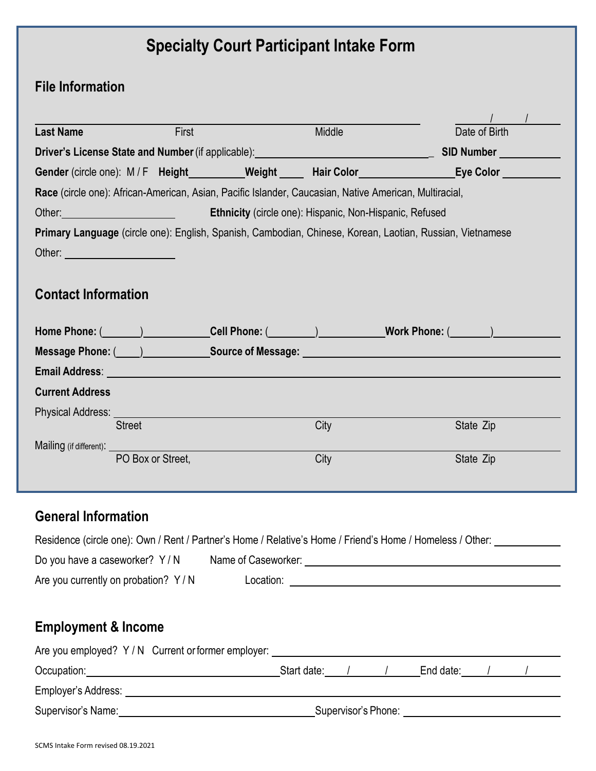# **Specialty Court Participant Intake Form**

## **File Information**

| <b>Last Name</b>                                                                                                                                                                                                               | <b>First</b>      |                                                                                                                                                                                                                                | Middle | Date of Birth                                                                                                                                                                                                                  |
|--------------------------------------------------------------------------------------------------------------------------------------------------------------------------------------------------------------------------------|-------------------|--------------------------------------------------------------------------------------------------------------------------------------------------------------------------------------------------------------------------------|--------|--------------------------------------------------------------------------------------------------------------------------------------------------------------------------------------------------------------------------------|
|                                                                                                                                                                                                                                |                   | Driver's License State and Number (if applicable): Driver's License Control of the Control of the Driver's License                                                                                                             |        | <b>SID Number SID</b>                                                                                                                                                                                                          |
|                                                                                                                                                                                                                                |                   |                                                                                                                                                                                                                                |        | Gender (circle one): M/F Height_________Weight _____ Hair Color _________________ Eye Color _________                                                                                                                          |
|                                                                                                                                                                                                                                |                   | Race (circle one): African-American, Asian, Pacific Islander, Caucasian, Native American, Multiracial,                                                                                                                         |        |                                                                                                                                                                                                                                |
| Other: will be a state of the state of the state of the state of the state of the state of the state of the state of the state of the state of the state of the state of the state of the state of the state of the state of t |                   | Ethnicity (circle one): Hispanic, Non-Hispanic, Refused                                                                                                                                                                        |        |                                                                                                                                                                                                                                |
|                                                                                                                                                                                                                                |                   |                                                                                                                                                                                                                                |        | Primary Language (circle one): English, Spanish, Cambodian, Chinese, Korean, Laotian, Russian, Vietnamese                                                                                                                      |
| Other: <u>_________________________________</u>                                                                                                                                                                                |                   |                                                                                                                                                                                                                                |        |                                                                                                                                                                                                                                |
|                                                                                                                                                                                                                                |                   |                                                                                                                                                                                                                                |        |                                                                                                                                                                                                                                |
| <b>Contact Information</b>                                                                                                                                                                                                     |                   |                                                                                                                                                                                                                                |        |                                                                                                                                                                                                                                |
|                                                                                                                                                                                                                                |                   |                                                                                                                                                                                                                                |        | Home Phone: (Call Phone: (Cell Phone: (Call Phone: (Call Phone: (Call Phone: (Call Phone: (Call Phone: (Call Phone: (Call Phone: (Call Phone: (Call Phone: (Call Phone: (Call Phone: (Call Phone: (Call Phone: (Call Phone: (C |
|                                                                                                                                                                                                                                |                   |                                                                                                                                                                                                                                |        | Message Phone: (Campbell Course of Message: Campbell Courses and Courses and Courses and Courses and Courses and Courses and Courses and Courses and Courses and Courses and Courses and Courses and Courses and Courses and C |
|                                                                                                                                                                                                                                |                   | Email Address: No. 1996. The Contract of the Contract of the Contract of the Contract of the Contract of the Contract of the Contract of the Contract of the Contract of the Contract of the Contract of the Contract of the C |        |                                                                                                                                                                                                                                |
| <b>Current Address</b>                                                                                                                                                                                                         |                   |                                                                                                                                                                                                                                |        |                                                                                                                                                                                                                                |
| Physical Address: Universely                                                                                                                                                                                                   |                   |                                                                                                                                                                                                                                |        |                                                                                                                                                                                                                                |
|                                                                                                                                                                                                                                | <b>Street</b>     |                                                                                                                                                                                                                                | City   | State Zip                                                                                                                                                                                                                      |
| Mailing (if different): __________                                                                                                                                                                                             |                   |                                                                                                                                                                                                                                |        |                                                                                                                                                                                                                                |
|                                                                                                                                                                                                                                | PO Box or Street, |                                                                                                                                                                                                                                | City   | State Zip                                                                                                                                                                                                                      |
|                                                                                                                                                                                                                                |                   |                                                                                                                                                                                                                                |        |                                                                                                                                                                                                                                |

### **General Information**

|  | Residence (circle one): Own / Rent / Partner's Home / Relative's Home / Friend's Home / Homeless / Other: |  |  |
|--|-----------------------------------------------------------------------------------------------------------|--|--|
|  |                                                                                                           |  |  |

| Do you have a caseworker? Y/N       | Name of Caseworker: |  |
|-------------------------------------|---------------------|--|
| Are you currently on probation? Y/N | Location:           |  |

## **Employment & Income**

| Are you employed? Y/N Current or former employer: |                     |  |  |           |  |  |  |
|---------------------------------------------------|---------------------|--|--|-----------|--|--|--|
| Occupation:                                       | Start date:         |  |  | End date: |  |  |  |
| Employer's Address:                               |                     |  |  |           |  |  |  |
| Supervisor's Name:                                | Supervisor's Phone: |  |  |           |  |  |  |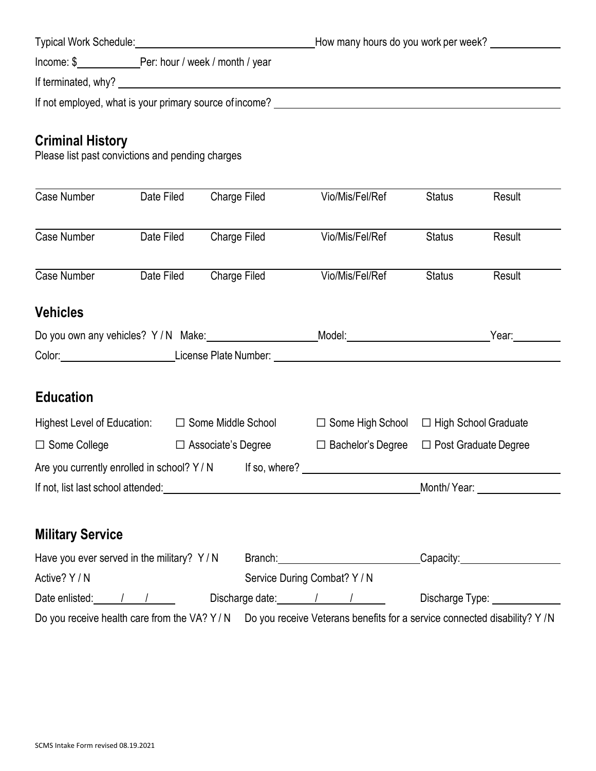| <b>Typical Work Schedule:</b> Typical Work Schedule:                        | How many hours do you work per week? ______________ |
|-----------------------------------------------------------------------------|-----------------------------------------------------|
| Income: \$ Per: hour / week / month / year                                  |                                                     |
| If terminated, why?                                                         |                                                     |
| If not employed, what is your primary source of income?                     |                                                     |
|                                                                             |                                                     |
| <b>Criminal History</b><br>Please list past convictions and pending charges |                                                     |

| Case Number                                      | Date Filed | Charge Filed              | Vio/Mis/Fel/Ref                                                                                                                                                                                                               | <b>Status</b>                                                                                                                                                                                                                  | Result                      |  |
|--------------------------------------------------|------------|---------------------------|-------------------------------------------------------------------------------------------------------------------------------------------------------------------------------------------------------------------------------|--------------------------------------------------------------------------------------------------------------------------------------------------------------------------------------------------------------------------------|-----------------------------|--|
| Case Number                                      | Date Filed | Charge Filed              | Vio/Mis/Fel/Ref                                                                                                                                                                                                               | <b>Status</b>                                                                                                                                                                                                                  | Result                      |  |
| Case Number                                      | Date Filed | Charge Filed              | Vio/Mis/Fel/Ref                                                                                                                                                                                                               | <b>Status</b>                                                                                                                                                                                                                  | Result                      |  |
| <b>Vehicles</b>                                  |            |                           |                                                                                                                                                                                                                               |                                                                                                                                                                                                                                |                             |  |
|                                                  |            |                           | Do you own any vehicles? Y/N Make: Most Change Model: Model: Model: Model: Model: Model: Model: Model: Model: Model: Model: Model: Model: Model: Model: Model: Model: Model: Model: Model: Model: Model: Model: Model: Model: | Year: The Management of the Management of the Society of the Society of the Management of the Management of the Management of the Management of the Management of the Management of the Management of the Management of the Ma |                             |  |
|                                                  |            |                           | Color: License Plate Number: Color: Color: Color: Color: Color: Color: Color: Color: Color: Color: Color: Colo                                                                                                                |                                                                                                                                                                                                                                |                             |  |
| <b>Education</b>                                 |            |                           |                                                                                                                                                                                                                               |                                                                                                                                                                                                                                |                             |  |
| Highest Level of Education: □ Some Middle School |            |                           | $\Box$ Some High School $\Box$ High School Graduate                                                                                                                                                                           |                                                                                                                                                                                                                                |                             |  |
| $\Box$ Some College                              |            | $\Box$ Associate's Degree | $\Box$ Bachelor's Degree                                                                                                                                                                                                      |                                                                                                                                                                                                                                | $\Box$ Post Graduate Degree |  |
|                                                  |            |                           | Are you currently enrolled in school? Y/N If so, where? _________________________                                                                                                                                             |                                                                                                                                                                                                                                |                             |  |
|                                                  |            |                           | If not, list last school attended: example and a series of the state of the state of the state of the state of                                                                                                                |                                                                                                                                                                                                                                |                             |  |
| <b>Military Service</b>                          |            |                           |                                                                                                                                                                                                                               |                                                                                                                                                                                                                                |                             |  |
| Have you ever served in the military? Y/N        |            |                           | Branch: Capacity: Capacity:                                                                                                                                                                                                   |                                                                                                                                                                                                                                |                             |  |
| Active? Y / N                                    |            |                           | Service During Combat? Y / N                                                                                                                                                                                                  |                                                                                                                                                                                                                                |                             |  |

| Date enlisted |               |  |   | l )ischarge date: |   |  | )اجرا | vpe: |  |
|---------------|---------------|--|---|-------------------|---|--|-------|------|--|
| $-$           | $\sim$ $\sim$ |  | . | $\sim$ $\sim$     | . |  |       |      |  |

Do you receive health care from the VA? Y / N Do you receive Veterans benefits for a service connected disability? Y /N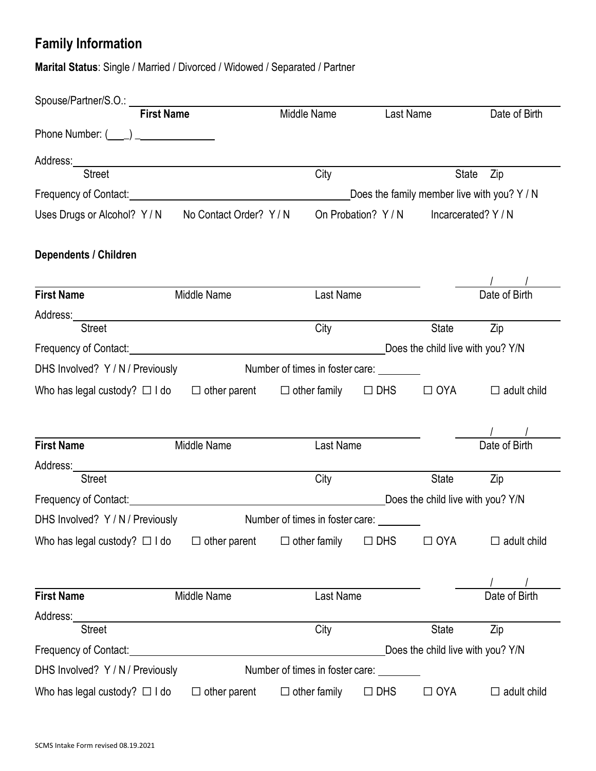# **Family Information**

**Marital Status**: Single / Married / Divorced / Widowed / Separated / Partner

|                                                                                                  | <b>First Name</b>   | Middle Name                              | Last Name  |                                     | Date of Birth                               |
|--------------------------------------------------------------------------------------------------|---------------------|------------------------------------------|------------|-------------------------------------|---------------------------------------------|
| Phone Number: $(\_\_\_)$                                                                         |                     |                                          |            |                                     |                                             |
|                                                                                                  |                     |                                          |            |                                     |                                             |
| <b>Street</b>                                                                                    |                     | City                                     |            | State                               | Zip                                         |
|                                                                                                  |                     |                                          |            |                                     | Does the family member live with you? Y / N |
| Uses Drugs or Alcohol? Y/N No Contact Order? Y/N                                                 |                     |                                          |            | On Probation? Y/N Incarcerated? Y/N |                                             |
| <b>Dependents / Children</b>                                                                     |                     |                                          |            |                                     |                                             |
|                                                                                                  |                     |                                          |            |                                     |                                             |
| <b>First Name</b>                                                                                | Middle Name         | Last Name                                |            |                                     | Date of Birth                               |
| <b>Street</b>                                                                                    |                     | City                                     |            | State                               | Zip                                         |
|                                                                                                  |                     |                                          |            | Does the child live with you? Y/N   |                                             |
| DHS Involved? Y / N / Previously                                                                 |                     | Number of times in foster care: ________ |            |                                     |                                             |
| Who has legal custody? $\Box$ I do $\Box$ other parent $\Box$ other family $\Box$ DHS $\Box$ OYA |                     |                                          |            |                                     | $\Box$ adult child                          |
|                                                                                                  |                     |                                          |            |                                     |                                             |
| <b>First Name</b>                                                                                | Middle Name         | Last Name                                |            |                                     | Date of Birth                               |
|                                                                                                  |                     |                                          |            |                                     |                                             |
| <b>Street</b>                                                                                    |                     | City                                     |            | <b>State</b>                        | Zip                                         |
|                                                                                                  |                     |                                          |            | Does the child live with you? Y/N   |                                             |
| DHS Involved? Y / N / Previously                                                                 |                     | Number of times in foster care: ________ |            |                                     |                                             |
| Who has legal custody? $\Box$ I do $\Box$ other parent                                           |                     | $\Box$ other family                      | $\Box$ DHS | $\Box$ OYA                          | $\Box$ adult child                          |
|                                                                                                  |                     |                                          |            |                                     |                                             |
| <b>First Name</b>                                                                                | Middle Name         | Last Name                                |            |                                     | Date of Birth                               |
| Address:                                                                                         |                     |                                          |            |                                     |                                             |
| <b>Street</b>                                                                                    |                     | City                                     |            | <b>State</b>                        | Zip                                         |
| Frequency of Contact:                                                                            |                     |                                          |            | Does the child live with you? Y/N   |                                             |
| DHS Involved? Y / N / Previously                                                                 |                     | Number of times in foster care:          |            |                                     |                                             |
| Who has legal custody? $\Box$ I do                                                               | $\Box$ other parent | $\Box$ other family                      | $\Box$ DHS | $\Box$ OYA                          | $\Box$ adult child                          |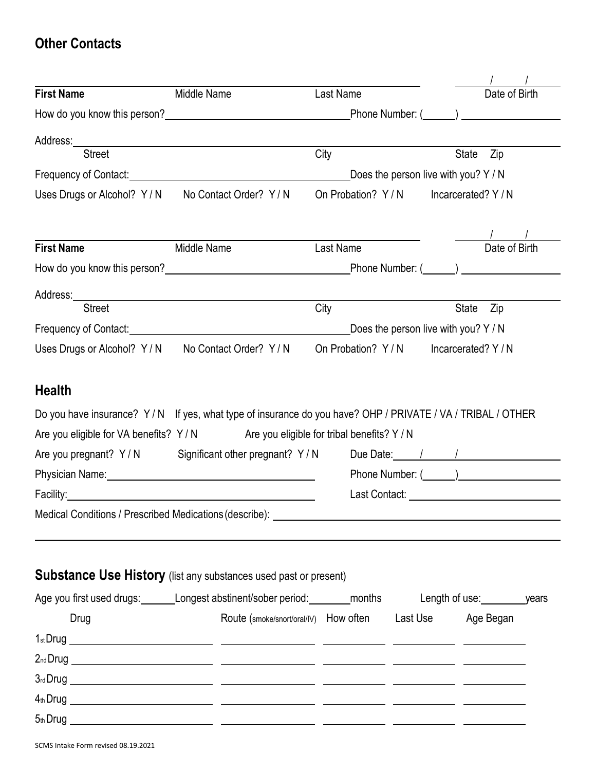### **Other Contacts**

| <b>First Name</b>                                | Middle Name                                                                                                                                                                                                                    | Last Name                                                |                                      | Date of Birth       |  |
|--------------------------------------------------|--------------------------------------------------------------------------------------------------------------------------------------------------------------------------------------------------------------------------------|----------------------------------------------------------|--------------------------------------|---------------------|--|
|                                                  |                                                                                                                                                                                                                                |                                                          |                                      |                     |  |
|                                                  |                                                                                                                                                                                                                                |                                                          |                                      |                     |  |
|                                                  |                                                                                                                                                                                                                                |                                                          |                                      |                     |  |
| <b>Street</b>                                    |                                                                                                                                                                                                                                | City                                                     |                                      | State<br>Zip        |  |
|                                                  | Frequency of Contact: <u>Contactive Contactive Contact</u>                                                                                                                                                                     |                                                          | Does the person live with you? Y / N |                     |  |
| Uses Drugs or Alcohol? Y/N No Contact Order? Y/N |                                                                                                                                                                                                                                | On Probation? Y/N                                        |                                      | Incarcerated? Y / N |  |
|                                                  |                                                                                                                                                                                                                                |                                                          |                                      |                     |  |
| <b>First Name</b>                                | Middle Name                                                                                                                                                                                                                    | Last Name                                                |                                      | Date of Birth       |  |
|                                                  |                                                                                                                                                                                                                                |                                                          |                                      |                     |  |
|                                                  |                                                                                                                                                                                                                                |                                                          |                                      |                     |  |
| <b>Street</b>                                    |                                                                                                                                                                                                                                | City                                                     |                                      | <b>State</b><br>Zip |  |
|                                                  |                                                                                                                                                                                                                                |                                                          | Does the person live with you? Y / N |                     |  |
| Uses Drugs or Alcohol? Y/N No Contact Order? Y/N |                                                                                                                                                                                                                                | On Probation? Y/N                                        |                                      | Incarcerated? Y / N |  |
| Are you eligible for VA benefits? Y/N            | Are you pregnant? Y/N Significant other pregnant? Y/N                                                                                                                                                                          | Are you eligible for tribal benefits? Y / N              | Due Date: 1 1                        |                     |  |
|                                                  | Physician Name: Name: Name and All Albert All Albert Albert Albert Albert Albert Albert Albert Albert Albert Albert Albert Albert Albert Albert Albert Albert Albert Albert Albert Albert Albert Albert Albert Albert Albert A |                                                          |                                      |                     |  |
|                                                  |                                                                                                                                                                                                                                |                                                          |                                      |                     |  |
|                                                  |                                                                                                                                                                                                                                |                                                          |                                      |                     |  |
|                                                  | <b>Substance Use History</b> (list any substances used past or present)                                                                                                                                                        |                                                          |                                      |                     |  |
|                                                  | Age you first used drugs: Longest abstinent/sober period: _______ months Length of use: ________ years                                                                                                                         |                                                          |                                      |                     |  |
| Drug                                             |                                                                                                                                                                                                                                | Route (smoke/snort/oral/IV) How often Last Use Age Began |                                      |                     |  |
|                                                  |                                                                                                                                                                                                                                |                                                          |                                      |                     |  |
|                                                  |                                                                                                                                                                                                                                |                                                          |                                      |                     |  |
|                                                  |                                                                                                                                                                                                                                |                                                          |                                      |                     |  |
|                                                  |                                                                                                                                                                                                                                |                                                          |                                      |                     |  |